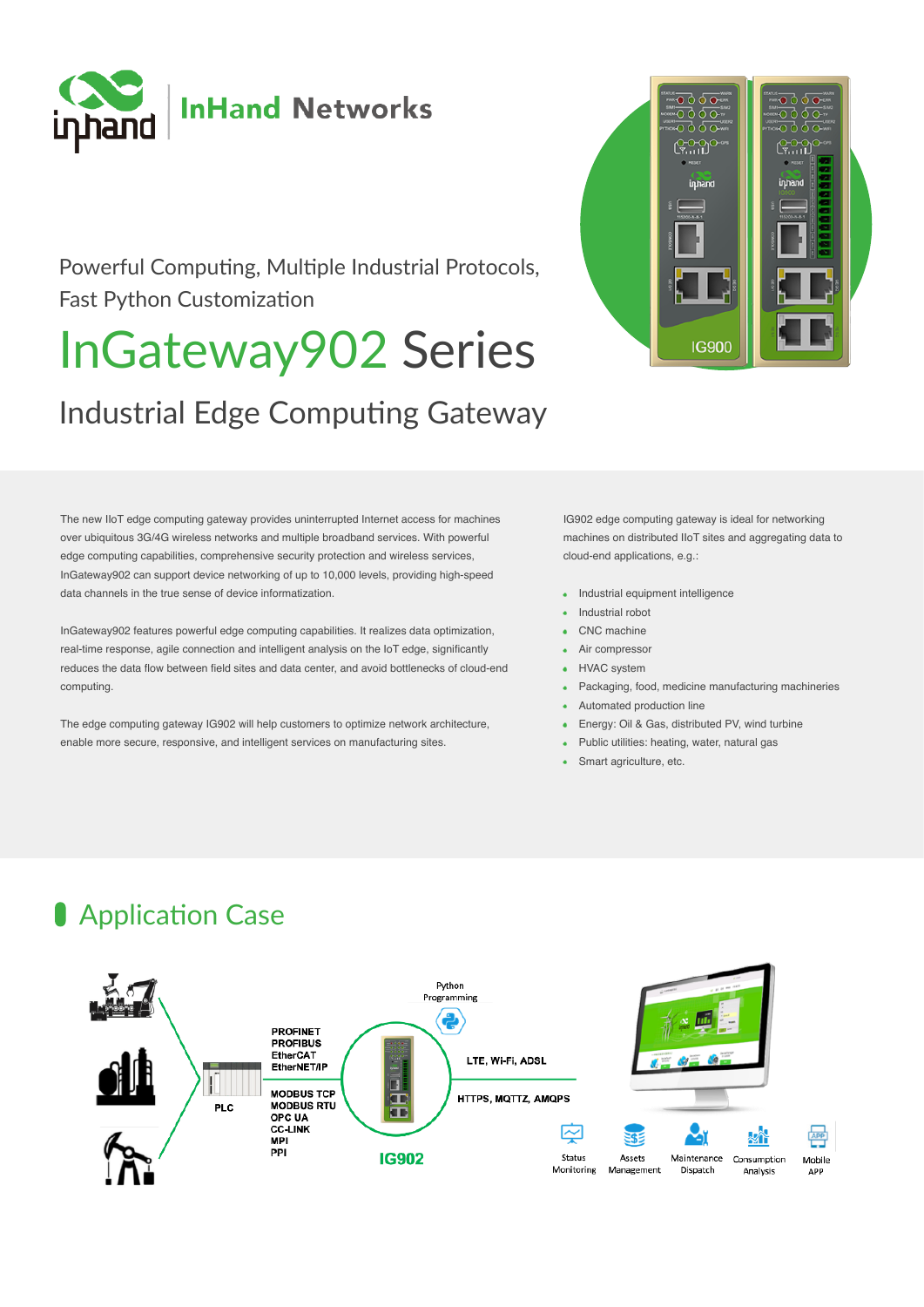

### Powerful Computing, Multiple Industrial Protocols, Fast Python Customization

# InGateway902 Series

## Industrial Edge Computing Gateway

The new IIoT edge computing gateway provides uninterrupted Internet access for machines over ubiquitous 3G/4G wireless networks and multiple broadband services. With powerful edge computing capabilities, comprehensive security protection and wireless services, InGateway902 can support device networking of up to 10,000 levels, providing high-speed data channels in the true sense of device informatization.

InGateway902 features powerful edge computing capabilities. It realizes data optimization, real-time response, agile connection and intelligent analysis on the IoT edge, significantly reduces the data flow between field sites and data center, and avoid bottlenecks of cloud-end computing.

The edge computing gateway IG902 will help customers to optimize network architecture, enable more secure, responsive, and intelligent services on manufacturing sites.



IG902 edge computing gateway is ideal for networking machines on distributed IIoT sites and aggregating data to cloud-end applications, e.g.:

- Industrial equipment intelligence
- Industrial robot
- CNC machine
- Air compressor
- HVAC system
- Packaging, food, medicine manufacturing machineries
- Automated production line
- Energy: Oil & Gas, distributed PV, wind turbine
- Public utilities: heating, water, natural gas
- Smart agriculture, etc.

### **Application Case**

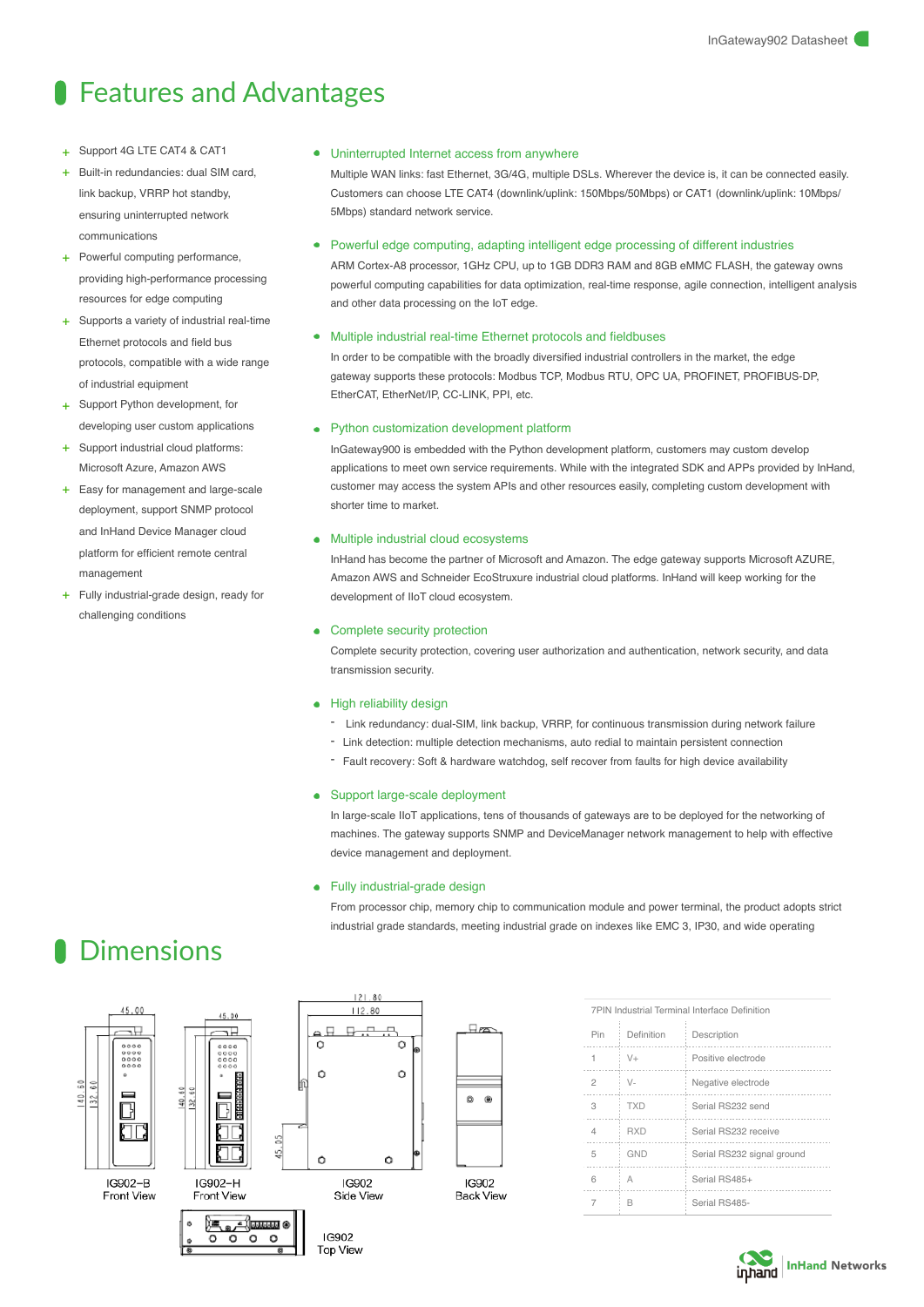### **Starff** Features and Advantages

- Support 4G LTE CAT4 & CAT1
- Built-in redundancies: dual SIM card, link backup, VRRP hot standby, ensuring uninterrupted network communications
- + Powerful computing performance, providing high-performance processing resources for edge computing
- + Supports a variety of industrial real-time Ethernet protocols and field bus protocols, compatible with a wide range of industrial equipment
- Support Python development, for developing user custom applications
- Support industrial cloud platforms: Microsoft Azure, Amazon AWS
- + Easy for management and large-scale deployment, support SNMP protocol and InHand Device Manager cloud platform for efficient remote central management
- + Fully industrial-grade design, ready for challenging conditions

#### Uninterrupted Internet access from anywhere

Multiple WAN links: fast Ethernet, 3G/4G, multiple DSLs. Wherever the device is, it can be connected easily. Customers can choose LTE CAT4 (downlink/uplink: 150Mbps/50Mbps) or CAT1 (downlink/uplink: 10Mbps/ 5Mbps) standard network service.

#### Powerful edge computing, adapting intelligent edge processing of different industries

ARM Cortex-A8 processor, 1GHz CPU, up to 1GB DDR3 RAM and 8GB eMMC FLASH, the gateway owns powerful computing capabilities for data optimization, real-time response, agile connection, intelligent analysis and other data processing on the IoT edge.

#### Multiple industrial real-time Ethernet protocols and fieldbuses

In order to be compatible with the broadly diversified industrial controllers in the market, the edge gateway supports these protocols: Modbus TCP, Modbus RTU, OPC UA, PROFINET, PROFIBUS-DP, EtherCAT, EtherNet/IP, CC-LINK, PPI, etc.

#### • Python customization development platform

InGateway900 is embedded with the Python development platform, customers may custom develop applications to meet own service requirements. While with the integrated SDK and APPs provided by InHand, customer may access the system APIs and other resources easily, completing custom development with shorter time to market.

#### • Multiple industrial cloud ecosystems

InHand has become the partner of Microsoft and Amazon. The edge gateway supports Microsoft AZURE, Amazon AWS and Schneider EcoStruxure industrial cloud platforms. InHand will keep working for the development of IIoT cloud ecosystem.

#### Complete security protection

Complete security protection, covering user authorization and authentication, network security, and data transmission security.

#### • High reliability design

- Link redundancy: dual-SIM, link backup, VRRP, for continuous transmission during network failure
- Link detection: multiple detection mechanisms, auto redial to maintain persistent connection
- Fault recovery: Soft & hardware watchdog, self recover from faults for high device availability

#### • Support large-scale deployment

In large-scale IIoT applications, tens of thousands of gateways are to be deployed for the networking of machines. The gateway supports SNMP and DeviceManager network management to help with effective device management and deployment.

#### • Fully industrial-grade design

From processor chip, memory chip to communication module and power terminal, the product adopts strict industrial grade standards, meeting industrial grade on indexes like EMC 3, IP30, and wide operating

### **Dimensions**



| 7PIN Industrial Terminal Interface Definition |            |                            |  |  |  |  |  |
|-----------------------------------------------|------------|----------------------------|--|--|--|--|--|
| Pin                                           | Definition | Description                |  |  |  |  |  |
| 1                                             | $V +$      | Positive electrode         |  |  |  |  |  |
| $\overline{2}$                                | $V -$      | Negative electrode         |  |  |  |  |  |
| 3                                             | <b>TXD</b> | Serial RS232 send          |  |  |  |  |  |
| 4                                             | <b>RXD</b> | Serial RS232 receive       |  |  |  |  |  |
| 5                                             | GND        | Serial RS232 signal ground |  |  |  |  |  |
| 6                                             | A          | Serial RS485+              |  |  |  |  |  |
|                                               | R          | Serial RS485-              |  |  |  |  |  |

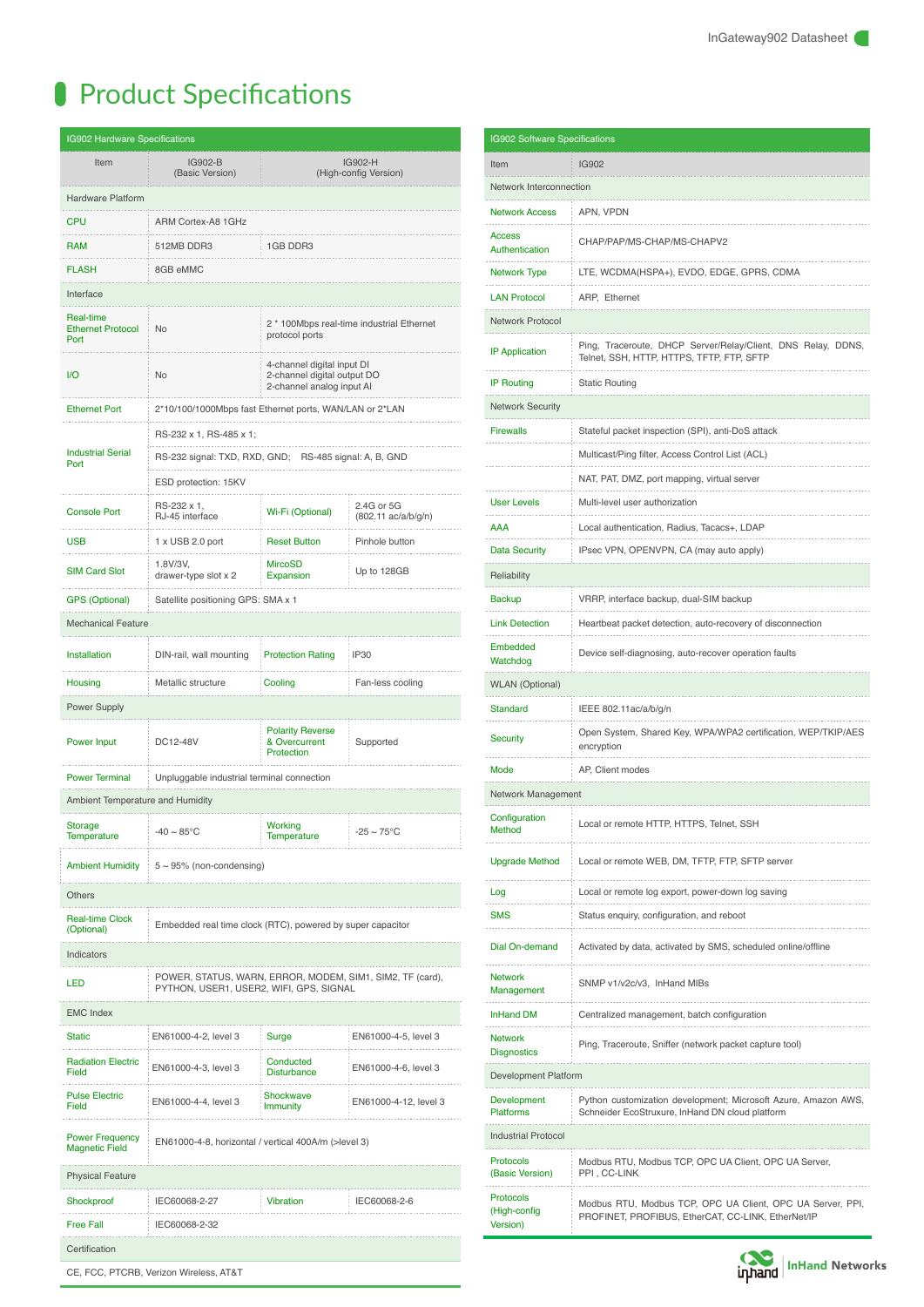# **Product Specifications**

| IG902 Hardware Specifications                                                          |                                                                                                      |                                                                                        |                                   |  |  |  |  |  |  |
|----------------------------------------------------------------------------------------|------------------------------------------------------------------------------------------------------|----------------------------------------------------------------------------------------|-----------------------------------|--|--|--|--|--|--|
| Item                                                                                   | IG902-B<br>(Basic Version)                                                                           | IG902-H<br>(High-config Version)                                                       |                                   |  |  |  |  |  |  |
| Hardware Platform                                                                      |                                                                                                      |                                                                                        |                                   |  |  |  |  |  |  |
| <b>CPU</b>                                                                             | ARM Cortex-A8 1GHz                                                                                   |                                                                                        |                                   |  |  |  |  |  |  |
| <b>RAM</b>                                                                             | 512MB DDR3                                                                                           | 1GB DDR3                                                                               |                                   |  |  |  |  |  |  |
| <b>FLASH</b>                                                                           | 8GB eMMC                                                                                             |                                                                                        |                                   |  |  |  |  |  |  |
| Interface                                                                              |                                                                                                      |                                                                                        |                                   |  |  |  |  |  |  |
| Real-time<br><b>Ethernet Protocol</b><br>Port                                          | No                                                                                                   | 2 * 100Mbps real-time industrial Ethernet<br>protocol ports                            |                                   |  |  |  |  |  |  |
| I/O                                                                                    | No                                                                                                   | 4-channel digital input DI<br>2-channel digital output DO<br>2-channel analog input AI |                                   |  |  |  |  |  |  |
| <b>Ethernet Port</b>                                                                   | 2*10/100/1000Mbps fast Ethernet ports, WAN/LAN or 2*LAN                                              |                                                                                        |                                   |  |  |  |  |  |  |
|                                                                                        | RS-232 x 1, RS-485 x 1;                                                                              |                                                                                        |                                   |  |  |  |  |  |  |
| <b>Industrial Serial</b><br>Port                                                       | RS-232 signal: TXD, RXD, GND; RS-485 signal: A, B, GND                                               |                                                                                        |                                   |  |  |  |  |  |  |
|                                                                                        | ESD protection: 15KV                                                                                 |                                                                                        |                                   |  |  |  |  |  |  |
| <b>Console Port</b>                                                                    | RS-232 x 1,<br>RJ-45 interface                                                                       | Wi-Fi (Optional)                                                                       | 2.4G or 5G<br>(802.11 ac/a/b/g/n) |  |  |  |  |  |  |
| <b>USB</b>                                                                             | 1 x USB 2.0 port                                                                                     | <b>Reset Button</b>                                                                    | Pinhole button                    |  |  |  |  |  |  |
| <b>SIM Card Slot</b>                                                                   | 1.8V/3V,<br>drawer-type slot x 2                                                                     | <b>MircoSD</b><br>Expansion                                                            | Up to 128GB                       |  |  |  |  |  |  |
| <b>GPS (Optional)</b>                                                                  | Satellite positioning GPS: SMA x 1                                                                   |                                                                                        |                                   |  |  |  |  |  |  |
| <b>Mechanical Feature</b>                                                              |                                                                                                      |                                                                                        |                                   |  |  |  |  |  |  |
| <b>Installation</b>                                                                    | DIN-rail, wall mounting                                                                              | <b>Protection Rating</b>                                                               | IP30                              |  |  |  |  |  |  |
| Housing                                                                                | Metallic structure                                                                                   | Cooling                                                                                | Fan-less cooling                  |  |  |  |  |  |  |
| Power Supply                                                                           |                                                                                                      |                                                                                        |                                   |  |  |  |  |  |  |
| Power Input                                                                            | DC12-48V                                                                                             | <b>Polarity Reverse</b><br>& Overcurrent<br>Protection                                 | Supported                         |  |  |  |  |  |  |
| <b>Power Terminal</b>                                                                  | Unpluggable industrial terminal connection                                                           |                                                                                        |                                   |  |  |  |  |  |  |
| Ambient Temperature and Humidity                                                       |                                                                                                      |                                                                                        |                                   |  |  |  |  |  |  |
| Storage<br>Temperature                                                                 | -40 $\sim$ 85°C                                                                                      | Working<br>Temperature                                                                 | $-25 \sim 75^{\circ}$ C           |  |  |  |  |  |  |
| <b>Ambient Humidity</b>                                                                | $5 \sim 95\%$ (non-condensing)                                                                       |                                                                                        |                                   |  |  |  |  |  |  |
| Others                                                                                 |                                                                                                      |                                                                                        |                                   |  |  |  |  |  |  |
| <b>Real-time Clock</b><br>(Optional)                                                   | Embedded real time clock (RTC), powered by super capacitor                                           |                                                                                        |                                   |  |  |  |  |  |  |
| Indicators                                                                             |                                                                                                      |                                                                                        |                                   |  |  |  |  |  |  |
| LED                                                                                    | POWER, STATUS, WARN, ERROR, MODEM, SIM1, SIM2, TF (card),<br>PYTHON, USER1, USER2, WIFI, GPS, SIGNAL |                                                                                        |                                   |  |  |  |  |  |  |
| <b>EMC Index</b>                                                                       |                                                                                                      |                                                                                        |                                   |  |  |  |  |  |  |
| <b>Static</b>                                                                          | EN61000-4-2, level 3                                                                                 | Surge                                                                                  | EN61000-4-5, level 3              |  |  |  |  |  |  |
| <b>Radiation Electric</b><br>Field                                                     | EN61000-4-3, level 3                                                                                 | Conducted<br><b>Disturbance</b>                                                        | EN61000-4-6, level 3              |  |  |  |  |  |  |
| <b>Pulse Electric</b><br>Shockwave<br>EN61000-4-4, level 3<br>Field<br><b>Immunity</b> |                                                                                                      |                                                                                        | EN61000-4-12, level 3             |  |  |  |  |  |  |
| <b>Power Frequency</b><br><b>Magnetic Field</b>                                        | EN61000-4-8, horizontal / vertical 400A/m (>level 3)                                                 |                                                                                        |                                   |  |  |  |  |  |  |
| <b>Physical Feature</b>                                                                |                                                                                                      |                                                                                        |                                   |  |  |  |  |  |  |
| Shockproof                                                                             | IEC60068-2-27                                                                                        | <b>Vibration</b>                                                                       | IEC60068-2-6                      |  |  |  |  |  |  |
| <b>Free Fall</b>                                                                       | IEC60068-2-32                                                                                        |                                                                                        |                                   |  |  |  |  |  |  |
| Certification                                                                          |                                                                                                      |                                                                                        |                                   |  |  |  |  |  |  |

CE, FCC, PTCRB, Verizon Wireless, AT&T

| IG902 Software Specifications                                                                                                                        |                                                                                                                  |  |  |  |  |  |  |
|------------------------------------------------------------------------------------------------------------------------------------------------------|------------------------------------------------------------------------------------------------------------------|--|--|--|--|--|--|
| Item                                                                                                                                                 | <b>IG902</b>                                                                                                     |  |  |  |  |  |  |
| Network Interconnection                                                                                                                              |                                                                                                                  |  |  |  |  |  |  |
| <b>Network Access</b>                                                                                                                                | APN, VPDN                                                                                                        |  |  |  |  |  |  |
| Access<br>Authentication                                                                                                                             | CHAP/PAP/MS-CHAP/MS-CHAPV2                                                                                       |  |  |  |  |  |  |
| <b>Network Type</b>                                                                                                                                  | LTE, WCDMA(HSPA+), EVDO, EDGE, GPRS, CDMA                                                                        |  |  |  |  |  |  |
| <b>LAN Protocol</b>                                                                                                                                  | ARP, Ethernet                                                                                                    |  |  |  |  |  |  |
| <b>Network Protocol</b>                                                                                                                              |                                                                                                                  |  |  |  |  |  |  |
| <b>IP Application</b>                                                                                                                                | Ping, Traceroute, DHCP Server/Relay/Client, DNS Relay, DDNS,<br>Telnet, SSH, HTTP, HTTPS, TFTP, FTP, SFTP        |  |  |  |  |  |  |
| <b>IP Routing</b>                                                                                                                                    | <b>Static Routing</b>                                                                                            |  |  |  |  |  |  |
| <b>Network Security</b>                                                                                                                              |                                                                                                                  |  |  |  |  |  |  |
| <b>Firewalls</b>                                                                                                                                     | Stateful packet inspection (SPI), anti-DoS attack                                                                |  |  |  |  |  |  |
|                                                                                                                                                      | Multicast/Ping filter, Access Control List (ACL)                                                                 |  |  |  |  |  |  |
|                                                                                                                                                      | NAT, PAT, DMZ, port mapping, virtual server                                                                      |  |  |  |  |  |  |
| <b>User Levels</b>                                                                                                                                   | Multi-level user authorization                                                                                   |  |  |  |  |  |  |
| AAA                                                                                                                                                  | Local authentication, Radius, Tacacs+, LDAP                                                                      |  |  |  |  |  |  |
| <b>Data Security</b>                                                                                                                                 | IPsec VPN, OPENVPN, CA (may auto apply)                                                                          |  |  |  |  |  |  |
| Reliability                                                                                                                                          |                                                                                                                  |  |  |  |  |  |  |
| <b>Backup</b>                                                                                                                                        | VRRP, interface backup, dual-SIM backup                                                                          |  |  |  |  |  |  |
| <b>Link Detection</b>                                                                                                                                | Heartbeat packet detection, auto-recovery of disconnection                                                       |  |  |  |  |  |  |
| Embedded<br>Watchdog                                                                                                                                 | Device self-diagnosing, auto-recover operation faults                                                            |  |  |  |  |  |  |
| <b>WLAN</b> (Optional)                                                                                                                               |                                                                                                                  |  |  |  |  |  |  |
| <b>Standard</b>                                                                                                                                      | IEEE 802.11 ac/a/b/g/n                                                                                           |  |  |  |  |  |  |
| Security                                                                                                                                             | Open System, Shared Key, WPA/WPA2 certification, WEP/TKIP/AES<br>encryption                                      |  |  |  |  |  |  |
| Mode                                                                                                                                                 | AP, Client modes                                                                                                 |  |  |  |  |  |  |
| Network Management                                                                                                                                   |                                                                                                                  |  |  |  |  |  |  |
| Configuration<br>Method                                                                                                                              | Local or remote HTTP, HTTPS, Telnet, SSH                                                                         |  |  |  |  |  |  |
| Upgrade Method                                                                                                                                       | Local or remote WEB, DM, TFTP, FTP, SFTP server                                                                  |  |  |  |  |  |  |
| Log                                                                                                                                                  | Local or remote log export, power-down log saving                                                                |  |  |  |  |  |  |
| <b>SMS</b>                                                                                                                                           | Status enquiry, configuration, and reboot                                                                        |  |  |  |  |  |  |
| Dial On-demand                                                                                                                                       | Activated by data, activated by SMS, scheduled online/offline                                                    |  |  |  |  |  |  |
| <b>Network</b><br>Management                                                                                                                         | SNMP v1/v2c/v3, InHand MIBs                                                                                      |  |  |  |  |  |  |
| <b>InHand DM</b>                                                                                                                                     | Centralized management, batch configuration                                                                      |  |  |  |  |  |  |
| <b>Network</b><br><b>Disgnostics</b>                                                                                                                 | Ping, Traceroute, Sniffer (network packet capture tool)                                                          |  |  |  |  |  |  |
| Development Platform                                                                                                                                 |                                                                                                                  |  |  |  |  |  |  |
| Python customization development; Microsoft Azure, Amazon AWS,<br>Development<br><b>Platforms</b><br>Schneider EcoStruxure, InHand DN cloud platform |                                                                                                                  |  |  |  |  |  |  |
| <b>Industrial Protocol</b>                                                                                                                           |                                                                                                                  |  |  |  |  |  |  |
| <b>Protocols</b><br>(Basic Version)                                                                                                                  | Modbus RTU, Modbus TCP, OPC UA Client, OPC UA Server,<br>PPI, CC-LINK                                            |  |  |  |  |  |  |
| Protocols<br>(High-config<br>Version)                                                                                                                | Modbus RTU, Modbus TCP, OPC UA Client, OPC UA Server, PPI,<br>PROFINET, PROFIBUS, EtherCAT, CC-LINK, EtherNet/IP |  |  |  |  |  |  |

**Constitution** InHand Networks